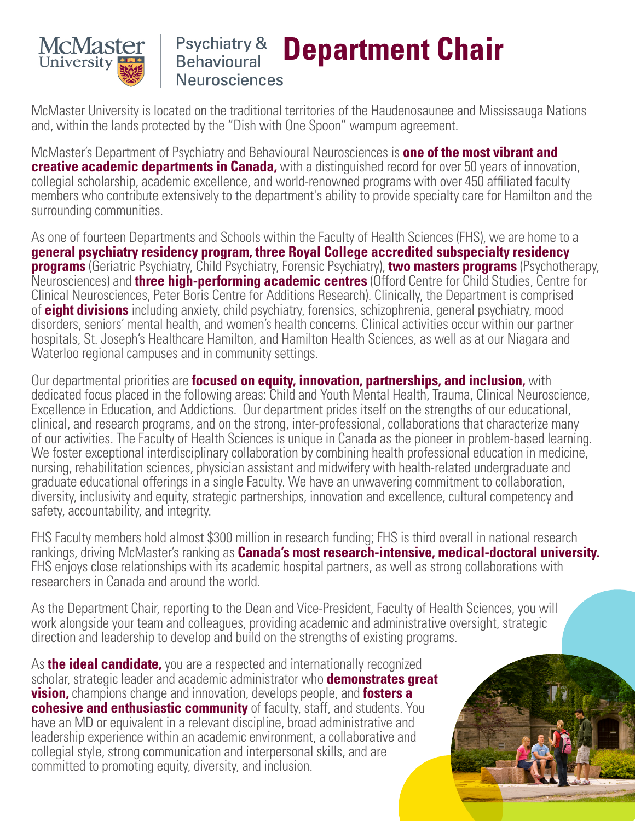

## Psychiatry & **Department Chair Behavioural Neurosciences**

McMaster University is located on the traditional territories of the Haudenosaunee and Mississauga Nations and, within the lands protected by the "Dish with One Spoon" wampum agreement.

McMaster's Department of Psychiatry and Behavioural Neurosciences is **one of the most vibrant and creative academic departments in Canada,** with a distinguished record for over 50 years of innovation, collegial scholarship, academic excellence, and world-renowned programs with over 450 affiliated faculty members who contribute extensively to the department's ability to provide specialty care for Hamilton and the surrounding communities.

As one of fourteen Departments and Schools within the Faculty of Health Sciences (FHS), we are home to a **general psychiatry residency program, three Royal College accredited subspecialty residency programs** (Geriatric Psychiatry, Child Psychiatry, Forensic Psychiatry), **two masters programs** (Psychotherapy, Neurosciences) and **three high-performing academic centres** (Offord Centre for Child Studies, Centre for Clinical Neurosciences, Peter Boris Centre for Additions Research). Clinically, the Department is comprised of **eight divisions** including anxiety, child psychiatry, forensics, schizophrenia, general psychiatry, mood disorders, seniors' mental health, and women's health concerns. Clinical activities occur within our partner hospitals, St. Joseph's Healthcare Hamilton, and Hamilton Health Sciences, as well as at our Niagara and Waterloo regional campuses and in community settings.

Our departmental priorities are **focused on equity, innovation, partnerships, and inclusion,** with dedicated focus placed in the following areas: Child and Youth Mental Health, Trauma, Clinical Neuroscience, Excellence in Education, and Addictions. Our department prides itself on the strengths of our educational, clinical, and research programs, and on the strong, inter-professional, collaborations that characterize many of our activities. The Faculty of Health Sciences is unique in Canada as the pioneer in problem-based learning. We foster exceptional interdisciplinary collaboration by combining health professional education in medicine, nursing, rehabilitation sciences, physician assistant and midwifery with health-related undergraduate and graduate educational offerings in a single Faculty. We have an unwavering commitment to collaboration, diversity, inclusivity and equity, strategic partnerships, innovation and excellence, cultural competency and safety, accountability, and integrity.

FHS Faculty members hold almost \$300 million in research funding; FHS is third overall in national research rankings, driving McMaster's ranking as **Canada's most research-intensive, medical-doctoral university.**  FHS enjoys close relationships with its academic hospital partners, as well as strong collaborations with researchers in Canada and around the world.

As the Department Chair, reporting to the Dean and Vice-President, Faculty of Health Sciences, you will work alongside your team and colleagues, providing academic and administrative oversight, strategic direction and leadership to develop and build on the strengths of existing programs.

As **the ideal candidate,** you are a respected and internationally recognized scholar, strategic leader and academic administrator who **demonstrates great vision,** champions change and innovation, develops people, and **fosters a cohesive and enthusiastic community** of faculty, staff, and students. You have an MD or equivalent in a relevant discipline, broad administrative and leadership experience within an academic environment, a collaborative and collegial style, strong communication and interpersonal skills, and are committed to promoting equity, diversity, and inclusion.